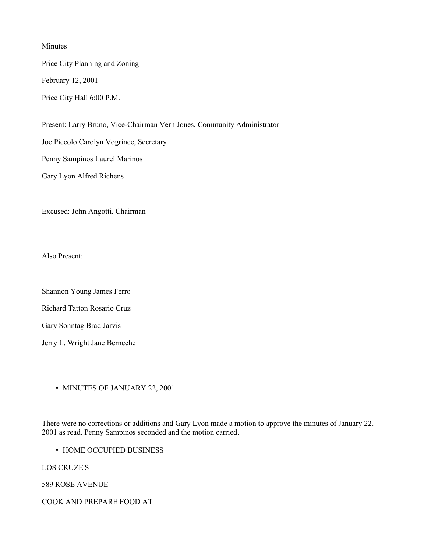Minutes

Price City Planning and Zoning

February 12, 2001

Price City Hall 6:00 P.M.

Present: Larry Bruno, Vice-Chairman Vern Jones, Community Administrator

Joe Piccolo Carolyn Vogrinec, Secretary

Penny Sampinos Laurel Marinos

Gary Lyon Alfred Richens

Excused: John Angotti, Chairman

Also Present:

Shannon Young James Ferro

Richard Tatton Rosario Cruz

Gary Sonntag Brad Jarvis

Jerry L. Wright Jane Berneche

• MINUTES OF JANUARY 22, 2001

There were no corrections or additions and Gary Lyon made a motion to approve the minutes of January 22, 2001 as read. Penny Sampinos seconded and the motion carried.

• HOME OCCUPIED BUSINESS

LOS CRUZE'S

589 ROSE AVENUE

COOK AND PREPARE FOOD AT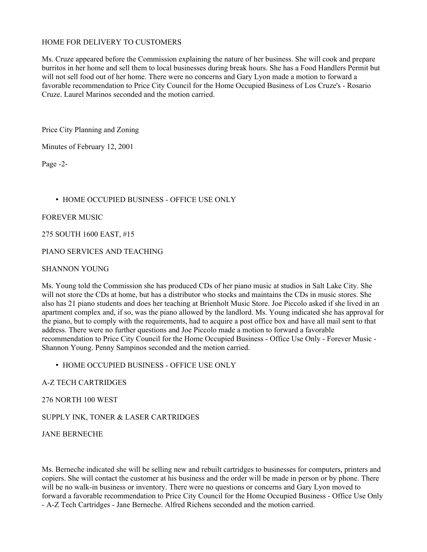#### HOME FOR DELIVERY TO CUSTOMERS

Ms. Cruze appeared before the Commission explaining the nature of her business. She will cook and prepare burritos in her home and sell them to local businesses during break hours. She has a Food Handlers Permit but will not sell food out of her home. There were no concerns and Gary Lyon made a motion to forward a favorable recommendation to Price City Council for the Home Occupied Business of Los Cruze's - Rosario Cruze. Laurel Marinos seconded and the motion carried.

Price City Planning and Zoning

Minutes of February 12, 2001

Page -2-

### • HOME OCCUPIED BUSINESS - OFFICE USE ONLY

#### FOREVER MUSIC

#### 275 SOUTH 1600 EAST, #15

#### PIANO SERVICES AND TEACHING

#### SHANNON YOUNG

Ms. Young told the Commission she has produced CDs of her piano music at studios in Salt Lake City. She will not store the CDs at home, but has a distributor who stocks and maintains the CDs in music stores. She also has 21 piano students and does her teaching at Brienholt Music Store. Joe Piccolo asked if she lived in an apartment complex and, if so, was the piano allowed by the landlord. Ms. Young indicated she has approval for the piano, but to comply with the requirements, had to acquire a post office box and have all mail sent to that address. There were no further questions and Joe Piccolo made a motion to forward a favorable recommendation to Price City Council for the Home Occupied Business - Office Use Only - Forever Music - Shannon Young. Penny Sampinos seconded and the motion carried.

#### • HOME OCCUPIED BUSINESS - OFFICE USE ONLY

#### A-Z TECH CARTRIDGES

#### 276 NORTH 100 WEST

### SUPPLY INK, TONER & LASER CARTRIDGES

JANE BERNECHE

Ms. Berneche indicated she will be selling new and rebuilt cartridges to businesses for computers, printers and copiers. She will contact the customer at his business and the order will be made in person or by phone. There will be no walk-in business or inventory. There were no questions or concerns and Gary Lyon moved to forward a favorable recommendation to Price City Council for the Home Occupied Business - Office Use Only - A-Z Tech Cartridges - Jane Berneche. Alfred Richens seconded and the motion carried.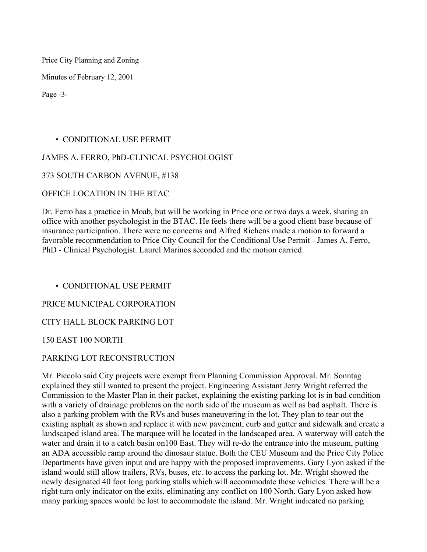Price City Planning and Zoning

Minutes of February 12, 2001

Page -3-

# • CONDITIONAL USE PERMIT

## JAMES A. FERRO, PhD-CLINICAL PSYCHOLOGIST

## 373 SOUTH CARBON AVENUE, #138

## OFFICE LOCATION IN THE BTAC

Dr. Ferro has a practice in Moab, but will be working in Price one or two days a week, sharing an office with another psychologist in the BTAC. He feels there will be a good client base because of insurance participation. There were no concerns and Alfred Richens made a motion to forward a favorable recommendation to Price City Council for the Conditional Use Permit - James A. Ferro, PhD - Clinical Psychologist. Laurel Marinos seconded and the motion carried.

• CONDITIONAL USE PERMIT

# PRICE MUNICIPAL CORPORATION

# CITY HALL BLOCK PARKING LOT

### 150 EAST 100 NORTH

# PARKING LOT RECONSTRUCTION

Mr. Piccolo said City projects were exempt from Planning Commission Approval. Mr. Sonntag explained they still wanted to present the project. Engineering Assistant Jerry Wright referred the Commission to the Master Plan in their packet, explaining the existing parking lot is in bad condition with a variety of drainage problems on the north side of the museum as well as bad asphalt. There is also a parking problem with the RVs and buses maneuvering in the lot. They plan to tear out the existing asphalt as shown and replace it with new pavement, curb and gutter and sidewalk and create a landscaped island area. The marquee will be located in the landscaped area. A waterway will catch the water and drain it to a catch basin on100 East. They will re-do the entrance into the museum, putting an ADA accessible ramp around the dinosaur statue. Both the CEU Museum and the Price City Police Departments have given input and are happy with the proposed improvements. Gary Lyon asked if the island would still allow trailers, RVs, buses, etc. to access the parking lot. Mr. Wright showed the newly designated 40 foot long parking stalls which will accommodate these vehicles. There will be a right turn only indicator on the exits, eliminating any conflict on 100 North. Gary Lyon asked how many parking spaces would be lost to accommodate the island. Mr. Wright indicated no parking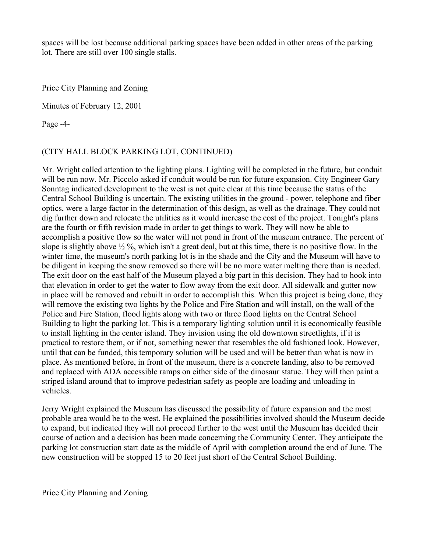spaces will be lost because additional parking spaces have been added in other areas of the parking lot. There are still over 100 single stalls.

Price City Planning and Zoning

Minutes of February 12, 2001

Page -4-

# (CITY HALL BLOCK PARKING LOT, CONTINUED)

Mr. Wright called attention to the lighting plans. Lighting will be completed in the future, but conduit will be run now. Mr. Piccolo asked if conduit would be run for future expansion. City Engineer Gary Sonntag indicated development to the west is not quite clear at this time because the status of the Central School Building is uncertain. The existing utilities in the ground - power, telephone and fiber optics, were a large factor in the determination of this design, as well as the drainage. They could not dig further down and relocate the utilities as it would increase the cost of the project. Tonight's plans are the fourth or fifth revision made in order to get things to work. They will now be able to accomplish a positive flow so the water will not pond in front of the museum entrance. The percent of slope is slightly above  $\frac{1}{2}$ %, which isn't a great deal, but at this time, there is no positive flow. In the winter time, the museum's north parking lot is in the shade and the City and the Museum will have to be diligent in keeping the snow removed so there will be no more water melting there than is needed. The exit door on the east half of the Museum played a big part in this decision. They had to hook into that elevation in order to get the water to flow away from the exit door. All sidewalk and gutter now in place will be removed and rebuilt in order to accomplish this. When this project is being done, they will remove the existing two lights by the Police and Fire Station and will install, on the wall of the Police and Fire Station, flood lights along with two or three flood lights on the Central School Building to light the parking lot. This is a temporary lighting solution until it is economically feasible to install lighting in the center island. They invision using the old downtown streetlights, if it is practical to restore them, or if not, something newer that resembles the old fashioned look. However, until that can be funded, this temporary solution will be used and will be better than what is now in place. As mentioned before, in front of the museum, there is a concrete landing, also to be removed and replaced with ADA accessible ramps on either side of the dinosaur statue. They will then paint a striped island around that to improve pedestrian safety as people are loading and unloading in vehicles.

Jerry Wright explained the Museum has discussed the possibility of future expansion and the most probable area would be to the west. He explained the possibilities involved should the Museum decide to expand, but indicated they will not proceed further to the west until the Museum has decided their course of action and a decision has been made concerning the Community Center. They anticipate the parking lot construction start date as the middle of April with completion around the end of June. The new construction will be stopped 15 to 20 feet just short of the Central School Building.

Price City Planning and Zoning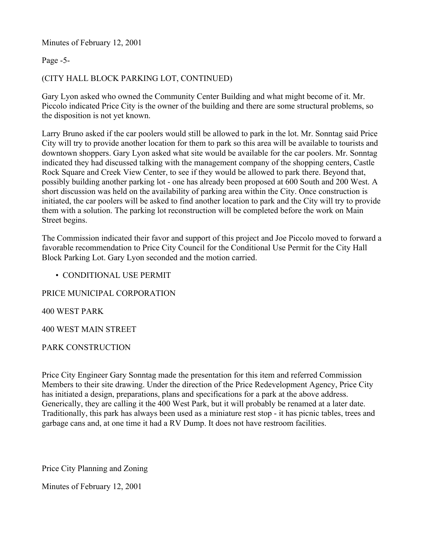Minutes of February 12, 2001

Page -5-

# (CITY HALL BLOCK PARKING LOT, CONTINUED)

Gary Lyon asked who owned the Community Center Building and what might become of it. Mr. Piccolo indicated Price City is the owner of the building and there are some structural problems, so the disposition is not yet known.

Larry Bruno asked if the car poolers would still be allowed to park in the lot. Mr. Sonntag said Price City will try to provide another location for them to park so this area will be available to tourists and downtown shoppers. Gary Lyon asked what site would be available for the car poolers. Mr. Sonntag indicated they had discussed talking with the management company of the shopping centers, Castle Rock Square and Creek View Center, to see if they would be allowed to park there. Beyond that, possibly building another parking lot - one has already been proposed at 600 South and 200 West. A short discussion was held on the availability of parking area within the City. Once construction is initiated, the car poolers will be asked to find another location to park and the City will try to provide them with a solution. The parking lot reconstruction will be completed before the work on Main Street begins.

The Commission indicated their favor and support of this project and Joe Piccolo moved to forward a favorable recommendation to Price City Council for the Conditional Use Permit for the City Hall Block Parking Lot. Gary Lyon seconded and the motion carried.

# • CONDITIONAL USE PERMIT

PRICE MUNICIPAL CORPORATION

400 WEST PARK

400 WEST MAIN STREET

PARK CONSTRUCTION

Price City Engineer Gary Sonntag made the presentation for this item and referred Commission Members to their site drawing. Under the direction of the Price Redevelopment Agency, Price City has initiated a design, preparations, plans and specifications for a park at the above address. Generically, they are calling it the 400 West Park, but it will probably be renamed at a later date. Traditionally, this park has always been used as a miniature rest stop - it has picnic tables, trees and garbage cans and, at one time it had a RV Dump. It does not have restroom facilities.

Price City Planning and Zoning

Minutes of February 12, 2001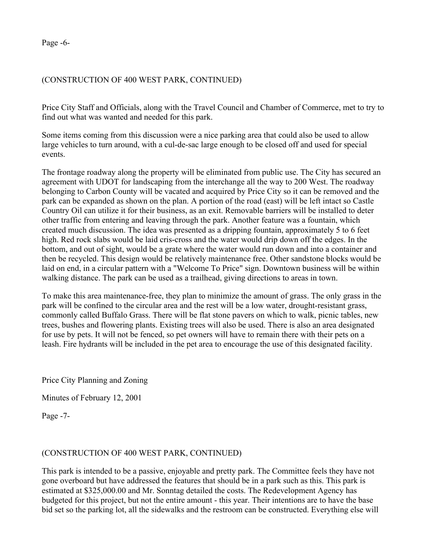Page -6-

## (CONSTRUCTION OF 400 WEST PARK, CONTINUED)

Price City Staff and Officials, along with the Travel Council and Chamber of Commerce, met to try to find out what was wanted and needed for this park.

Some items coming from this discussion were a nice parking area that could also be used to allow large vehicles to turn around, with a cul-de-sac large enough to be closed off and used for special events.

The frontage roadway along the property will be eliminated from public use. The City has secured an agreement with UDOT for landscaping from the interchange all the way to 200 West. The roadway belonging to Carbon County will be vacated and acquired by Price City so it can be removed and the park can be expanded as shown on the plan. A portion of the road (east) will be left intact so Castle Country Oil can utilize it for their business, as an exit. Removable barriers will be installed to deter other traffic from entering and leaving through the park. Another feature was a fountain, which created much discussion. The idea was presented as a dripping fountain, approximately 5 to 6 feet high. Red rock slabs would be laid cris-cross and the water would drip down off the edges. In the bottom, and out of sight, would be a grate where the water would run down and into a container and then be recycled. This design would be relatively maintenance free. Other sandstone blocks would be laid on end, in a circular pattern with a "Welcome To Price" sign. Downtown business will be within walking distance. The park can be used as a trailhead, giving directions to areas in town.

To make this area maintenance-free, they plan to minimize the amount of grass. The only grass in the park will be confined to the circular area and the rest will be a low water, drought-resistant grass, commonly called Buffalo Grass. There will be flat stone pavers on which to walk, picnic tables, new trees, bushes and flowering plants. Existing trees will also be used. There is also an area designated for use by pets. It will not be fenced, so pet owners will have to remain there with their pets on a leash. Fire hydrants will be included in the pet area to encourage the use of this designated facility.

Price City Planning and Zoning

Minutes of February 12, 2001

Page -7-

# (CONSTRUCTION OF 400 WEST PARK, CONTINUED)

This park is intended to be a passive, enjoyable and pretty park. The Committee feels they have not gone overboard but have addressed the features that should be in a park such as this. This park is estimated at \$325,000.00 and Mr. Sonntag detailed the costs. The Redevelopment Agency has budgeted for this project, but not the entire amount - this year. Their intentions are to have the base bid set so the parking lot, all the sidewalks and the restroom can be constructed. Everything else will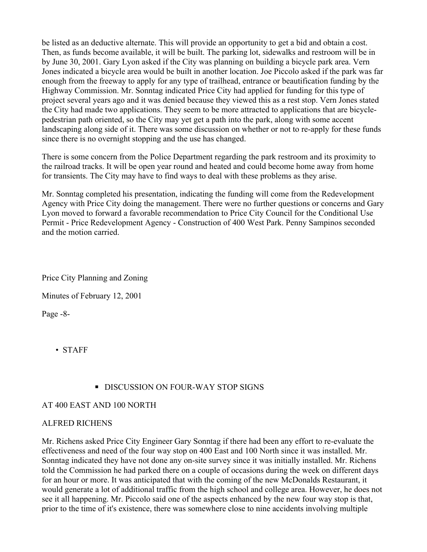be listed as an deductive alternate. This will provide an opportunity to get a bid and obtain a cost. Then, as funds become available, it will be built. The parking lot, sidewalks and restroom will be in by June 30, 2001. Gary Lyon asked if the City was planning on building a bicycle park area. Vern Jones indicated a bicycle area would be built in another location. Joe Piccolo asked if the park was far enough from the freeway to apply for any type of trailhead, entrance or beautification funding by the Highway Commission. Mr. Sonntag indicated Price City had applied for funding for this type of project several years ago and it was denied because they viewed this as a rest stop. Vern Jones stated the City had made two applications. They seem to be more attracted to applications that are bicyclepedestrian path oriented, so the City may yet get a path into the park, along with some accent landscaping along side of it. There was some discussion on whether or not to re-apply for these funds since there is no overnight stopping and the use has changed.

There is some concern from the Police Department regarding the park restroom and its proximity to the railroad tracks. It will be open year round and heated and could become home away from home for transients. The City may have to find ways to deal with these problems as they arise.

Mr. Sonntag completed his presentation, indicating the funding will come from the Redevelopment Agency with Price City doing the management. There were no further questions or concerns and Gary Lyon moved to forward a favorable recommendation to Price City Council for the Conditional Use Permit - Price Redevelopment Agency - Construction of 400 West Park. Penny Sampinos seconded and the motion carried.

Price City Planning and Zoning

Minutes of February 12, 2001

Page -8-

• STAFF

# **■ DISCUSSION ON FOUR-WAY STOP SIGNS**

### AT 400 EAST AND 100 NORTH

# ALFRED RICHENS

Mr. Richens asked Price City Engineer Gary Sonntag if there had been any effort to re-evaluate the effectiveness and need of the four way stop on 400 East and 100 North since it was installed. Mr. Sonntag indicated they have not done any on-site survey since it was initially installed. Mr. Richens told the Commission he had parked there on a couple of occasions during the week on different days for an hour or more. It was anticipated that with the coming of the new McDonalds Restaurant, it would generate a lot of additional traffic from the high school and college area. However, he does not see it all happening. Mr. Piccolo said one of the aspects enhanced by the new four way stop is that, prior to the time of it's existence, there was somewhere close to nine accidents involving multiple